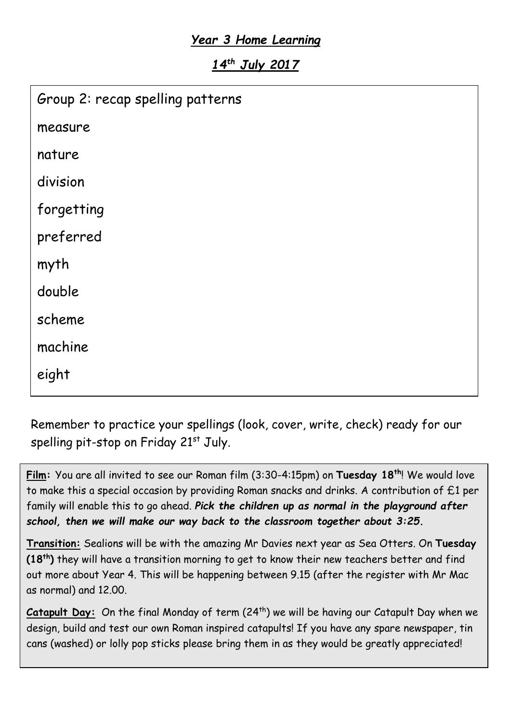## *Year 3 Home Learning*

*14th July 2017*

| Group 2: recap spelling patterns |
|----------------------------------|
| measure                          |
| nature                           |
| division                         |
| forgetting                       |
| preferred                        |
| myth                             |
| double                           |
| scheme                           |
| machine                          |
| eight                            |
|                                  |

Remember to practice your spellings (look, cover, write, check) ready for our spelling pit-stop on Friday 21<sup>st</sup> July.

**Film:** You are all invited to see our Roman film (3:30-4:15pm) on **Tuesday 18th**! We would love to make this a special occasion by providing Roman snacks and drinks. A contribution of £1 per family will enable this to go ahead. *Pick the children up as normal in the playground after school, then we will make our way back to the classroom together about 3:25.*

**Transition:** Sealions will be with the amazing Mr Davies next year as Sea Otters. On **Tuesday (18th)** they will have a transition morning to get to know their new teachers better and find out more about Year 4. This will be happening between 9.15 (after the register with Mr Mac as normal) and 12.00.

Catapult Day: On the final Monday of term (24<sup>th</sup>) we will be having our Catapult Day when we design, build and test our own Roman inspired catapults! If you have any spare newspaper, tin cans (washed) or lolly pop sticks please bring them in as they would be greatly appreciated!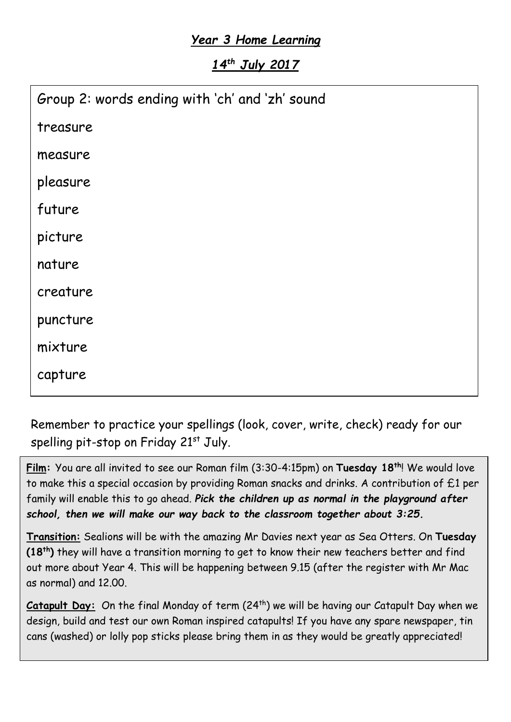## *Year 3 Home Learning*

*14th July 2017*

| treasure<br>measure<br>pleasure<br>future<br>picture<br>nature<br>creature<br>puncture<br>mixture<br>capture | Group 2: words ending with 'ch' and 'zh' sound |
|--------------------------------------------------------------------------------------------------------------|------------------------------------------------|
|                                                                                                              |                                                |
|                                                                                                              |                                                |
|                                                                                                              |                                                |
|                                                                                                              |                                                |
|                                                                                                              |                                                |
|                                                                                                              |                                                |
|                                                                                                              |                                                |
|                                                                                                              |                                                |
|                                                                                                              |                                                |
|                                                                                                              |                                                |

Remember to practice your spellings (look, cover, write, check) ready for our spelling pit-stop on Friday 21<sup>st</sup> July.

**Film:** You are all invited to see our Roman film (3:30-4:15pm) on **Tuesday 18th**! We would love to make this a special occasion by providing Roman snacks and drinks. A contribution of £1 per family will enable this to go ahead. *Pick the children up as normal in the playground after school, then we will make our way back to the classroom together about 3:25.*

**Transition:** Sealions will be with the amazing Mr Davies next year as Sea Otters. On **Tuesday (18th)** they will have a transition morning to get to know their new teachers better and find out more about Year 4. This will be happening between 9.15 (after the register with Mr Mac as normal) and 12.00.

Catapult Day: On the final Monday of term (24<sup>th</sup>) we will be having our Catapult Day when we design, build and test our own Roman inspired catapults! If you have any spare newspaper, tin cans (washed) or lolly pop sticks please bring them in as they would be greatly appreciated!